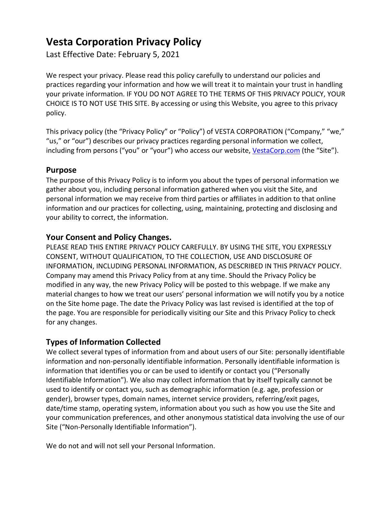# **Vesta Corporation Privacy Policy**

Last Effective Date: February 5, 2021

We respect your privacy. Please read this policy carefully to understand our policies and practices regarding your information and how we will treat it to maintain your trust in handling your private information. IF YOU DO NOT AGREE TO THE TERMS OF THIS PRIVACY POLICY, YOUR CHOICE IS TO NOT USE THIS SITE. By accessing or using this Website, you agree to this privacy policy.

This privacy policy (the "Privacy Policy" or "Policy") of VESTA CORPORATION ("Company," "we," "us," or "our") describes our privacy practices regarding personal information we collect, including from persons ("you" or "your") who access our website, [VestaCorp.com](https://vestacorp.com/) (the "Site").

## **Purpose**

The purpose of this Privacy Policy is to inform you about the types of personal information we gather about you, including personal information gathered when you visit the Site, and personal information we may receive from third parties or affiliates in addition to that online information and our practices for collecting, using, maintaining, protecting and disclosing and your ability to correct, the information.

## **Your Consent and Policy Changes.**

PLEASE READ THIS ENTIRE PRIVACY POLICY CAREFULLY. BY USING THE SITE, YOU EXPRESSLY CONSENT, WITHOUT QUALIFICATION, TO THE COLLECTION, USE AND DISCLOSURE OF INFORMATION, INCLUDING PERSONAL INFORMATION, AS DESCRIBED IN THIS PRIVACY POLICY. Company may amend this Privacy Policy from at any time. Should the Privacy Policy be modified in any way, the new Privacy Policy will be posted to this webpage. If we make any material changes to how we treat our users' personal information we will notify you by a notice on the Site home page. The date the Privacy Policy was last revised is identified at the top of the page. You are responsible for periodically visiting our Site and this Privacy Policy to check for any changes.

## **Types of Information Collected**

We collect several types of information from and about users of our Site: personally identifiable information and non-personally identifiable information. Personally identifiable information is information that identifies you or can be used to identify or contact you ("Personally Identifiable Information"). We also may collect information that by itself typically cannot be used to identify or contact you, such as demographic information (e.g. age, profession or gender), browser types, domain names, internet service providers, referring/exit pages, date/time stamp, operating system, information about you such as how you use the Site and your communication preferences, and other anonymous statistical data involving the use of our Site ("Non-Personally Identifiable Information").

We do not and will not sell your Personal Information.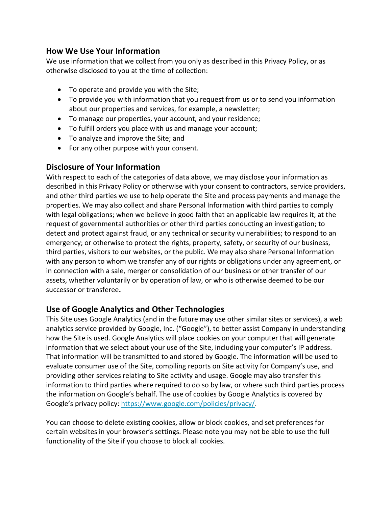#### **How We Use Your Information**

We use information that we collect from you only as described in this Privacy Policy, or as otherwise disclosed to you at the time of collection:

- To operate and provide you with the Site;
- To provide you with information that you request from us or to send you information about our properties and services, for example, a newsletter;
- To manage our properties, your account, and your residence;
- To fulfill orders you place with us and manage your account;
- To analyze and improve the Site; and
- For any other purpose with your consent.

## **Disclosure of Your Information**

With respect to each of the categories of data above, we may disclose your information as described in this Privacy Policy or otherwise with your consent to contractors, service providers, and other third parties we use to help operate the Site and process payments and manage the properties. We may also collect and share Personal Information with third parties to comply with legal obligations; when we believe in good faith that an applicable law requires it; at the request of governmental authorities or other third parties conducting an investigation; to detect and protect against fraud, or any technical or security vulnerabilities; to respond to an emergency; or otherwise to protect the rights, property, safety, or security of our business, third parties, visitors to our websites, or the public. We may also share Personal Information with any person to whom we transfer any of our rights or obligations under any agreement, or in connection with a sale, merger or consolidation of our business or other transfer of our assets, whether voluntarily or by operation of law, or who is otherwise deemed to be our successor or transferee**.**

## **Use of Google Analytics and Other Technologies**

This Site uses Google Analytics (and in the future may use other similar sites or services), a web analytics service provided by Google, Inc. ("Google"), to better assist Company in understanding how the Site is used. Google Analytics will place cookies on your computer that will generate information that we select about your use of the Site, including your computer's IP address. That information will be transmitted to and stored by Google. The information will be used to evaluate consumer use of the Site, compiling reports on Site activity for Company's use, and providing other services relating to Site activity and usage. Google may also transfer this information to third parties where required to do so by law, or where such third parties process the information on Google's behalf. The use of cookies by Google Analytics is covered by Google's privacy policy: [https://www.google.com/policies/privacy/.](https://www.google.com/policies/privacy/)

You can choose to delete existing cookies, allow or block cookies, and set preferences for certain websites in your browser's settings. Please note you may not be able to use the full functionality of the Site if you choose to block all cookies.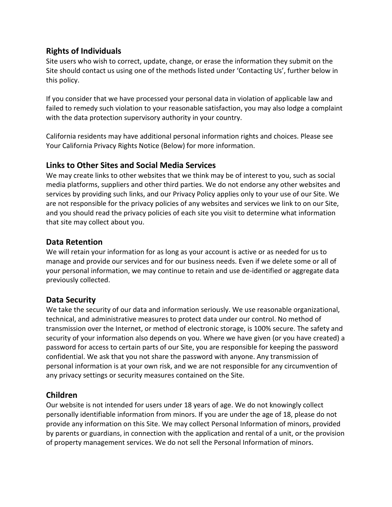#### **Rights of Individuals**

Site users who wish to correct, update, change, or erase the information they submit on the Site should contact us using one of the methods listed under 'Contacting Us', further below in this policy.

If you consider that we have processed your personal data in violation of applicable law and failed to remedy such violation to your reasonable satisfaction, you may also lodge a complaint with the data protection supervisory authority in your country.

California residents may have additional personal information rights and choices. Please see Your California Privacy Rights Notice (Below) for more information.

#### **Links to Other Sites and Social Media Services**

We may create links to other websites that we think may be of interest to you, such as social media platforms, suppliers and other third parties. We do not endorse any other websites and services by providing such links, and our Privacy Policy applies only to your use of our Site. We are not responsible for the privacy policies of any websites and services we link to on our Site, and you should read the privacy policies of each site you visit to determine what information that site may collect about you.

#### **Data Retention**

We will retain your information for as long as your account is active or as needed for us to manage and provide our services and for our business needs. Even if we delete some or all of your personal information, we may continue to retain and use de-identified or aggregate data previously collected.

#### **Data Security**

We take the security of our data and information seriously. We use reasonable organizational, technical, and administrative measures to protect data under our control. No method of transmission over the Internet, or method of electronic storage, is 100% secure. The safety and security of your information also depends on you. Where we have given (or you have created) a password for access to certain parts of our Site, you are responsible for keeping the password confidential. We ask that you not share the password with anyone. Any transmission of personal information is at your own risk, and we are not responsible for any circumvention of any privacy settings or security measures contained on the Site.

#### **Children**

Our website is not intended for users under 18 years of age. We do not knowingly collect personally identifiable information from minors. If you are under the age of 18, please do not provide any information on this Site. We may collect Personal Information of minors, provided by parents or guardians, in connection with the application and rental of a unit, or the provision of property management services. We do not sell the Personal Information of minors.